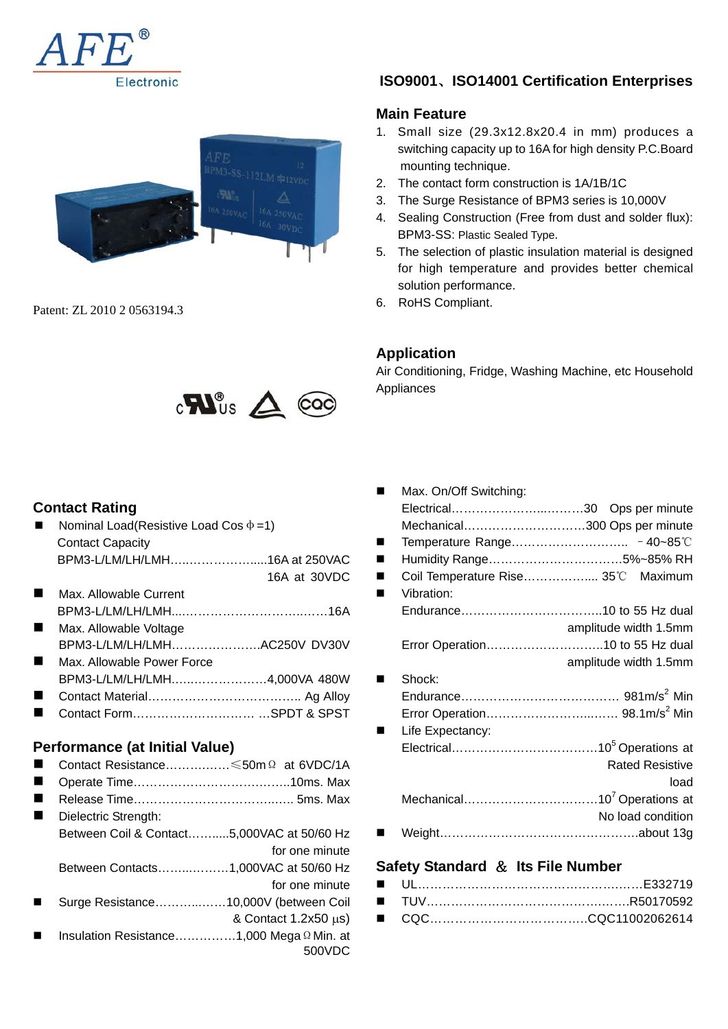



Patent: ZL 2010 2 0563194.3



### **Contact Rating**

| Nominal Load(Resistive Load Cos $\Phi$ =1)         |                            |
|----------------------------------------------------|----------------------------|
| <b>Contact Capacity</b>                            |                            |
| BPM3-L/LM/LH/LMH16A at 250VAC                      |                            |
|                                                    | 16A at 30VDC               |
| Max. Allowable Current                             |                            |
|                                                    |                            |
| Max. Allowable Voltage                             |                            |
| BPM3-L/LM/LH/LMHAC250V DV30V                       |                            |
| Max. Allowable Power Force                         |                            |
| BPM3-L/LM/LH/LMH4,000VA 480W                       |                            |
|                                                    |                            |
|                                                    |                            |
|                                                    |                            |
| Performance (at Initial Value)                     |                            |
|                                                    |                            |
| Contact Resistance $\leq 50$ m $\Omega$ at 6VDC/1A |                            |
|                                                    |                            |
|                                                    |                            |
| Dielectric Strength:                               |                            |
| Between Coil & Contact5,000VAC at 50/60 Hz         |                            |
|                                                    | for one minute             |
| Between Contacts1,000VAC at 50/60 Hz               |                            |
|                                                    | for one minute             |
| Surge Resistance10,000V (between Coil              |                            |
|                                                    | & Contact $1.2x50 \mu s$ ) |
| Insulation Resistance1,000 Mega $\Omega$ Min. at   |                            |
|                                                    | 500VDC                     |

## **ISO9001**、**ISO14001 Certification Enterprises**

### **Main Feature**

- 1. Small size (29.3x12.8x20.4 in mm) produces a switching capacity up to 16A for high density P.C.Board mounting technique.
- 2. The contact form construction is 1A/1B/1C
- 3. The Surge Resistance of BPM3 series is 10,000V
- 4. Sealing Construction (Free from dust and solder flux): BPM3-SS: Plastic Sealed Type.
- 5. The selection of plastic insulation material is designed for high temperature and provides better chemical solution performance.
- 6. RoHS Compliant.

### **Application**

Air Conditioning, Fridge, Washing Machine, etc Household Appliances

| Max. On/Off Switching:               |                                    |
|--------------------------------------|------------------------------------|
|                                      | Electrical30 Ops per minute        |
|                                      | Mechanical300 Ops per minute       |
|                                      |                                    |
|                                      | Humidity Range5%~85% RH            |
|                                      | Coil Temperature Rise 35°C Maximum |
| Vibration:                           |                                    |
|                                      |                                    |
|                                      | amplitude width 1.5mm              |
|                                      | Error Operation10 to 55 Hz dual    |
|                                      | amplitude width 1.5mm              |
| Shock:                               |                                    |
|                                      |                                    |
|                                      |                                    |
| Life Expectancy:                     |                                    |
|                                      |                                    |
|                                      | <b>Rated Resistive</b>             |
|                                      | load                               |
|                                      |                                    |
|                                      | No load condition                  |
|                                      |                                    |
| Safety Standard $\&$ Its File Number |                                    |

### ■ UL……………………………………………………E332719 ■ TUV………………………………………………R50170592 ■ CQC…………………………………CQC11002062614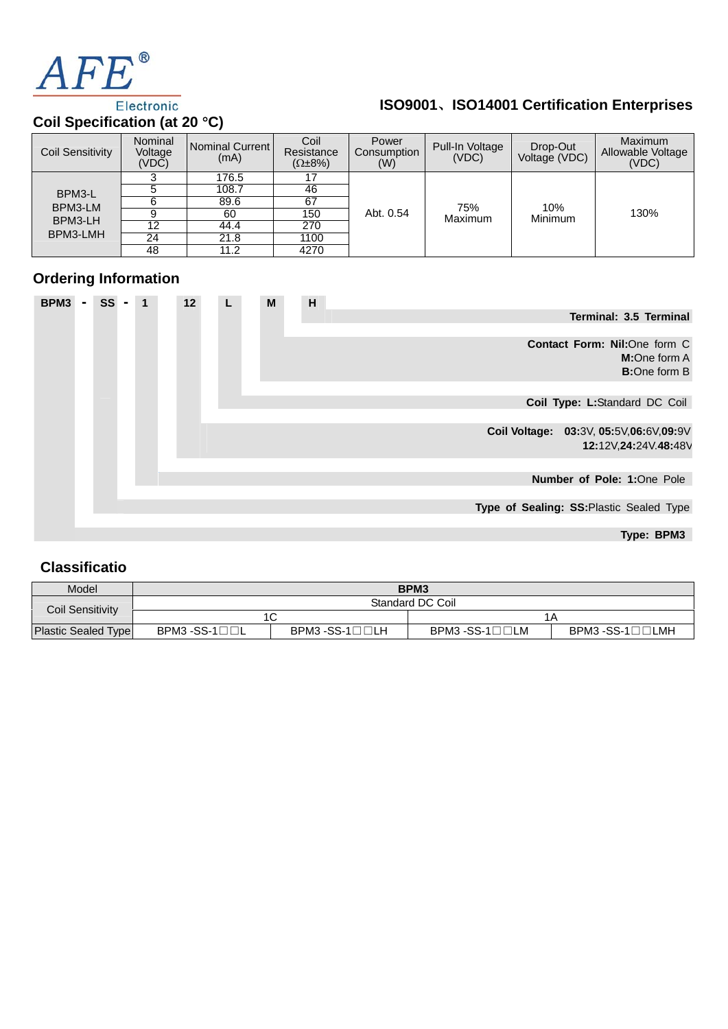

# **ISO9001**、**ISO14001 Certification Enterprises**

# **Coil Specification (at 20** °**C)**

| <b>Coil Sensitivity</b> | Nominal<br>Voltage<br>(VDC) | Nominal Current<br>(mA) | Coil<br>Resistance<br>$(\Omega \pm 8\%)$ | Power<br>Consumption<br>(W) | Pull-In Voltage<br>(VDC) | Drop-Out<br>Voltage (VDC) | <b>Maximum</b><br>Allowable Voltage<br>(VDC) |  |  |
|-------------------------|-----------------------------|-------------------------|------------------------------------------|-----------------------------|--------------------------|---------------------------|----------------------------------------------|--|--|
| BPM3-L                  |                             | 176.5                   |                                          |                             |                          |                           |                                              |  |  |
|                         |                             | 108.7                   | 46                                       |                             |                          |                           |                                              |  |  |
| BPM3-LM                 |                             | 89.6                    | 67                                       |                             | 75%                      | 10%                       |                                              |  |  |
| BPM3-LH<br>BPM3-LMH     |                             | 60                      | 150                                      | Abt. 0.54                   | Maximum                  | Minimum                   | 130%                                         |  |  |
|                         | 12                          | 44.4                    | 270                                      |                             |                          |                           |                                              |  |  |
|                         | 24                          | 21.8                    | 1100                                     |                             |                          |                           |                                              |  |  |
|                         | 48                          | 11.2                    | 4270                                     |                             |                          |                           |                                              |  |  |

# **Ordering Information**

| BPM <sub>3</sub> | SS |  | 12 | L | M | H |  |  |  |  |                                          |  |                                              |  |
|------------------|----|--|----|---|---|---|--|--|--|--|------------------------------------------|--|----------------------------------------------|--|
|                  |    |  |    |   |   |   |  |  |  |  |                                          |  | Terminal: 3.5 Terminal                       |  |
|                  |    |  |    |   |   |   |  |  |  |  |                                          |  |                                              |  |
|                  |    |  |    |   |   |   |  |  |  |  | Contact Form: Nil:One form C             |  | <b>M:</b> One form A<br><b>B:</b> One form B |  |
|                  |    |  |    |   |   |   |  |  |  |  |                                          |  |                                              |  |
|                  |    |  |    |   |   |   |  |  |  |  | Coil Type: L:Standard DC Coil            |  |                                              |  |
|                  |    |  |    |   |   |   |  |  |  |  |                                          |  |                                              |  |
|                  |    |  |    |   |   |   |  |  |  |  | Coil Voltage: 03:3V, 05:5V, 06:6V, 09:9V |  |                                              |  |
|                  |    |  |    |   |   |   |  |  |  |  |                                          |  | 12:12V,24:24V.48:48V                         |  |
|                  |    |  |    |   |   |   |  |  |  |  |                                          |  |                                              |  |
|                  |    |  |    |   |   |   |  |  |  |  |                                          |  | Number of Pole: 1:One Pole                   |  |
|                  |    |  |    |   |   |   |  |  |  |  |                                          |  |                                              |  |
|                  |    |  |    |   |   |   |  |  |  |  | Type of Sealing: SS: Plastic Sealed Type |  |                                              |  |
|                  |    |  |    |   |   |   |  |  |  |  |                                          |  |                                              |  |
|                  |    |  |    |   |   |   |  |  |  |  |                                          |  | Type: BPM3                                   |  |

### **Classificatio**

| Model                      | BPM <sub>3</sub>          |                                  |                                  |                                   |  |  |  |  |  |  |
|----------------------------|---------------------------|----------------------------------|----------------------------------|-----------------------------------|--|--|--|--|--|--|
| Coil Sensitivity           | Standard DC Coil          |                                  |                                  |                                   |  |  |  |  |  |  |
|                            | ⊐י                        |                                  | 1 A                              |                                   |  |  |  |  |  |  |
| <b>Plastic Sealed Type</b> | $BPM3 - SS-1 \Box \Box L$ | $BPM3 - SS-1 \square \square LH$ | $BPM3 - SS-1 \square \square LM$ | $BPM3 - SS-1 \square \square LMH$ |  |  |  |  |  |  |